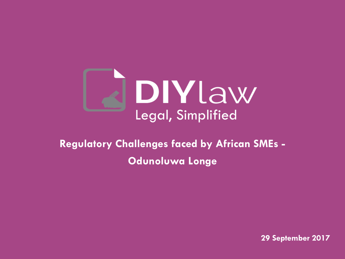

## **Regulatory Challenges faced by African SMEs - Odunoluwa Longe**

**29 September 2017**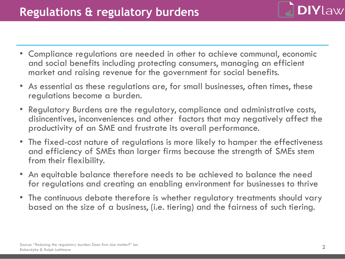- 
- Compliance regulations are needed in other to achieve communal, economic and social benefits including protecting consumers, managing an efficient market and raising revenue for the government for social benefits.
- As essential as these regulations are, for small businesses, often times, these regulations become a burden.
- Regulatory Burdens are the regulatory, compliance and administrative costs, disincentives, inconveniences and other factors that may negatively affect the productivity of an SME and frustrate its overall performance.
- The fixed-cost nature of regulations is more likely to hamper the effectiveness and efficiency of SMEs than larger firms because the strength of SMEs stem from their flexibility.
- An equitable balance therefore needs to be achieved to balance the need for regulations and creating an enabling environment for businesses to thrive
- The continuous debate therefore is whether regulatory treatments should vary based on the size of a business, (i.e. tiering) and the fairness of such tiering.

**DIYlaw**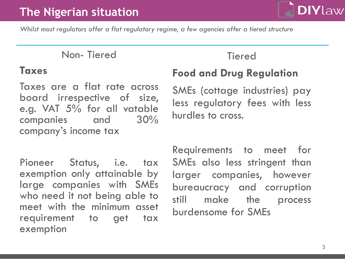

*Whilst most regulators offer a flat regulatory regime, a few agencies offer a tiered structure*

## Non- Tiered

## **Taxes**

Taxes are a flat rate across board irrespective of size, e.g. VAT 5% for all vatable companies and 30% company's income tax

Pioneer Status, i.e. tax exemption only attainable by large companies with SMEs who need it not being able to meet with the minimum asset requirement to get tax exemption

## **Food and Drug Regulation**

**Tiered** 

SMEs (cottage industries) pay less regulatory fees with less hurdles to cross.

Requirements to meet for SMEs also less stringent than larger companies, however bureaucracy and corruption still make the process burdensome for SMEs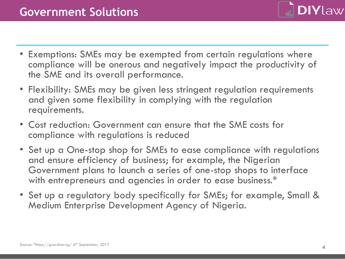

- Exemptions: SMEs may be exempted from certain regulations where compliance will be onerous and negatively impact the productivity of the SME and its overall performance.
- Flexibility: SMEs may be given less stringent regulation requirements and given some flexibility in complying with the regulation requirements.
- Cost reduction: Government can ensure that the SME costs for compliance with regulations is reduced
- Set up a One-stop shop for SMEs to ease compliance with regulations and ensure efficiency of business; for example, the Nigerian Government plans to launch a series of one-stop shops to interface with entrepreneurs and agencies in order to ease business.\*
- Set up a regulatory body specifically for SMEs; for example, Small & Medium Enterprise Development Agency of Nigeria.